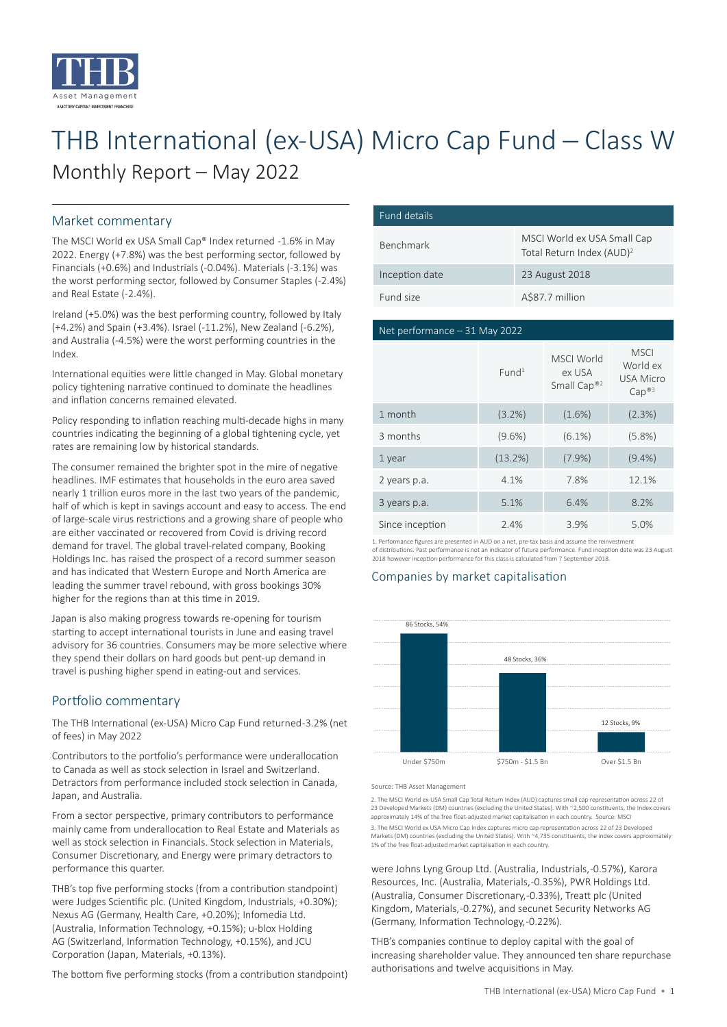

# THB International (ex-USA) Micro Cap Fund ─ Class W Monthly Report – May 2022

# Market commentary

The MSCI World ex USA Small Cap® Index returned -1.6% in May 2022. Energy (+7.8%) was the best performing sector, followed by Financials (+0.6%) and Industrials (-0.04%). Materials (-3.1%) was the worst performing sector, followed by Consumer Staples (-2.4%) and Real Estate (-2.4%).

Ireland (+5.0%) was the best performing country, followed by Italy (+4.2%) and Spain (+3.4%). Israel (-11.2%), New Zealand (-6.2%), and Australia (-4.5%) were the worst performing countries in the Index.

International equities were little changed in May. Global monetary policy tightening narrative continued to dominate the headlines and inflation concerns remained elevated.

Policy responding to inflation reaching multi-decade highs in many countries indicating the beginning of a global tightening cycle, yet rates are remaining low by historical standards.

The consumer remained the brighter spot in the mire of negative headlines. IMF estimates that households in the euro area saved nearly 1 trillion euros more in the last two years of the pandemic, half of which is kept in savings account and easy to access. The end of large-scale virus restrictions and a growing share of people who are either vaccinated or recovered from Covid is driving record demand for travel. The global travel-related company, Booking Holdings Inc. has raised the prospect of a record summer season and has indicated that Western Europe and North America are leading the summer travel rebound, with gross bookings 30% higher for the regions than at this time in 2019.

Japan is also making progress towards re-opening for tourism starting to accept international tourists in June and easing travel advisory for 36 countries. Consumers may be more selective where they spend their dollars on hard goods but pent-up demand in travel is pushing higher spend in eating-out and services.

# Portfolio commentary

The THB International (ex-USA) Micro Cap Fund returned -3.2% (net of fees) in May 2022

Contributors to the portfolio's performance were underallocation to Canada as well as stock selection in Israel and Switzerland. Detractors from performance included stock selection in Canada, Japan, and Australia.

From a sector perspective, primary contributors to performance mainly came from underallocation to Real Estate and Materials as well as stock selection in Financials. Stock selection in Materials, Consumer Discretionary, and Energy were primary detractors to performance this quarter.

THB's top five performing stocks (from a contribution standpoint) were Judges Scientific plc. (United Kingdom, Industrials, +0.30%); Nexus AG (Germany, Health Care, +0.20%); Infomedia Ltd. (Australia, Information Technology, +0.15%); u-blox Holding AG (Switzerland, Information Technology, +0.15%), and JCU Corporation (Japan, Materials, +0.13%).

The bottom five performing stocks (from a contribution standpoint)

| Fund details     |                                                                      |
|------------------|----------------------------------------------------------------------|
| <b>Benchmark</b> | MSCI World ex USA Small Cap<br>Total Return Index (AUD) <sup>2</sup> |
| Inception date   | 23 August 2018                                                       |
| Fund size        | A\$87.7 million                                                      |

### Net performance – 31 May 2022

|                 | Fund <sup>1</sup> | MSCI World<br>ex USA<br>Small Cap® <sup>2</sup> | <b>MSCI</b><br>World ex<br><b>USA Micro</b><br>Cap <sup>®3</sup> |
|-----------------|-------------------|-------------------------------------------------|------------------------------------------------------------------|
| 1 month         | $(3.2\%)$         | $(1.6\%)$                                       | (2.3%)                                                           |
| 3 months        | $(9.6\%)$         | $(6.1\%)$                                       | $(5.8\%)$                                                        |
| 1 year          | (13.2%)           | (7.9%                                           | $(9.4\%)$                                                        |
| 2 years p.a.    | 4.1%              | 7.8%                                            | 12.1%                                                            |
| 3 years p.a.    | 5.1%              | 6.4%                                            | 8.2%                                                             |
| Since inception | 2.4%              | 3.9%                                            | 5.0%                                                             |

1. Performance figures are presented in AUD on a net, pre-tax basis and assume the reinvestment of distributions. Past performance is not an indicator of future performance. Fund inception date was 23 August 2018 however inception performance for this class is calculated from 7 September 2018.

# Companies by market capitalisation



Source: THB Asset Management

2. The MSCI World ex-USA Small Cap Total Return Index (AUD) captures small cap representation across 22 of 23 Developed Markets (DM) countries (excluding the United States). With ~2,500 constituents, the Index covers approximately 14% of the free float-adjusted market capitalisation in each country. Source: MSCI 3. The MSCI World ex USA Micro Cap Index captures micro cap representation across 22 of 23 Developed Markets (DM) countries (excluding the United States). With ~4,735 constituents, the index covers approximately 1% of the free float-adjusted market capitalisation in each country.

were Johns Lyng Group Ltd. (Australia, Industrials, -0.57%), Karora Resources, Inc. (Australia, Materials, -0.35%), PWR Holdings Ltd. (Australia, Consumer Discretionary, -0.33%), Treatt plc (United Kingdom, Materials, -0.27%), and secunet Security Networks AG (Germany, Information Technology, -0.22%).

THB's companies continue to deploy capital with the goal of increasing shareholder value. They announced ten share repurchase authorisations and twelve acquisitions in May.